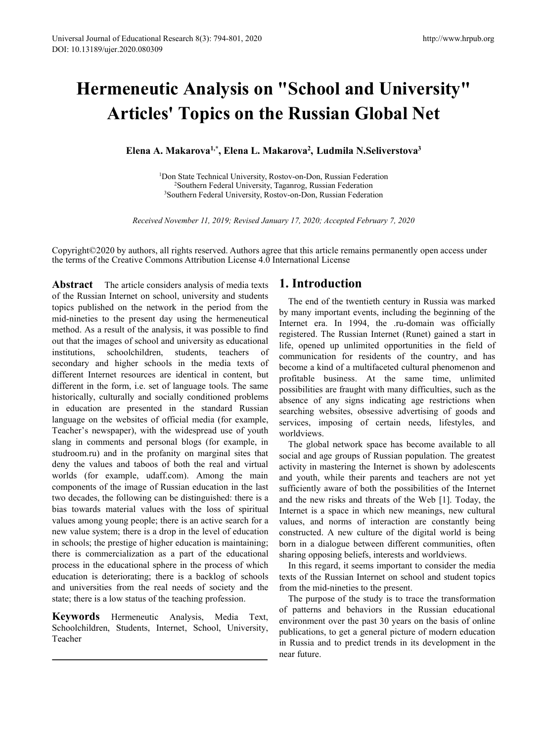# **Hermeneutic Analysis on "School and University" Articles' Topics on the Russian Global Net** Elena A. Makarova<sup>1,\*</sup>, Elena L. Makarova<sup>2</sup>, Ludmila N.Seliverstova<sup>1,\*</sup><br> **Elena A. Makarova<sup>1,\*</sup>, Elena L. Makarova<sup>2</sup>, Ludmila N.Seliverstova<sup>1</sup><br>
<sup>1</sup>Don State Technical University, Rostov-on-Don, Russian Federation<br>
<sup>2</sup>** http://www.hrpub.org<br> **hool and University''**<br> **ssian Global Net**<br> **, Ludmila N.Seliverstova<sup>3</sup><br>
Pon, Russian Federation<br>
Russian Federation<br>
Russian Federation<br>
Russian Federation<br>
Russian Federation** tic Analysis on "School and University"<br>
1920 Topics on the Russian Global Net<br>
1920 State Technical University, Rostov-on-Don, Russian Federation<br>
<sup>2</sup>Southern Federal University, Rostov-on-Don, Russian Federation<br>
<sup>2</sup>Sout 2 **Analysis on "School and University"**<br> **Topics on the Russian Global Net**<br>
(akarova<sup>1,\*</sup>, Elena L. Makarova<sup>2</sup>, Ludmila N.Seliverstova<sup>3</sup><br>
a State Technical University, Rostov-on-Don, Russian Federation<br>
<sup>2</sup>Southern Fede **ic Analysis on "School and University"**<br> **S' Topics on the Russian Global Net**<br>
Makarova<sup>1,\*</sup>, Elena L. Makarova<sup>2</sup>, Ludmila N.Seliverstova<sup>3</sup><br>
Don State Technical University, Rostov-on-Don, Russian Federation<br>
<sup>2</sup>Souther *Received November 11, 2019; Revised January 17, 2020; Accepted February 7, 2020***<br>** *Received November 11, 2019; Revised January 17, 2020; Accepted February 7, 2020***<br>** *Received November 11, 2019; Revised January 17, 2020;*

Copyright©2020 by authors, all rights reserved. Authors agree that this article remains permanently open access under the terms of the Creative Commons Attribution License 4.0 International License

**Abstract** The article considers analysis of media texts of the Russian Internet on school, university and students topics published on the network in the period from the mid-nineties to the present day using the hermeneutical method. As a result of the analysis, it was possible to find out that the images of school and university as educational institutions, schoolchildren, students, teachers of secondary and higher schools in the media texts of different Internet resources are identical in content, but different in the form, i.e. set of language tools. The same historically, culturally and socially conditioned problems in education are presented in the standard Russian language on the websites of official media (for example, Teacher's newspaper), with the widespread use of youth slang in comments and personal blogs (for example, in studroom.ru) and in the profanity on marginal sites that deny the values and taboos of both the real and virtual worlds (for example, udaff.com). Among the main components of the image of Russian education in the last two decades, the following can be distinguished: there is a bias towards material values with the loss of spiritual values among young people; there is an active search for a new value system; there is a drop in the level of education in schools; the prestige of higher education is maintaining; there is commercialization as a part of the educational process in the educational sphere in the process of which education is deteriorating; there is a backlog of schools and universities from the real needs of society and the state; there is a low status of the teaching profession.

**Keywords** Hermeneutic Analysis, Media Text, Schoolchildren, Students, Internet, School, University, Teacher

## **1. Introduction**

The end of the twentieth century in Russia was marked by many important events, including the beginning of the Internet era. In 1994, the .ru-domain was officially registered. The Russian Internet (Runet) gained a start in life, opened up unlimited opportunities in the field of communication for residents of the country, and has become a kind of a multifaceted cultural phenomenon and profitable business. At the same time, unlimited possibilities are fraught with many difficulties, such as the absence of any signs indicating age restrictions when searching websites, obsessive advertising of goods and services, imposing of certain needs, lifestyles, and worldviews.

The global network space has become available to all social and age groups of Russian population. The greatest activity in mastering the Internet is shown by adolescents and youth, while their parents and teachers are not yet sufficiently aware of both the possibilities of the Internet and the new risks and threats of the Web [1]. Today, the Internet is a space in which new meanings, new cultural values, and norms of interaction are constantly being constructed. A new culture of the digital world is being born in a dialogue between different communities, often sharing opposing beliefs, interests and worldviews.

In this regard, it seems important to consider the media texts of the Russian Internet on school and student topics from the mid-nineties to the present.

The purpose of the study is to trace the transformation of patterns and behaviors in the Russian educational environment over the past 30 years on the basis of online publications, to get a general picture of modern education in Russia and to predict trends in its development in the near future.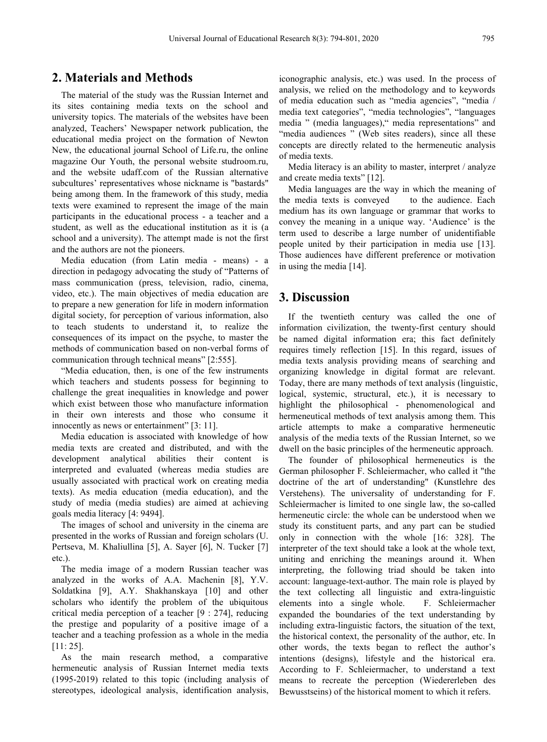## **2. Materials and Methods**

The material of the study was the Russian Internet and its sites containing media texts on the school and university topics. The materials of the websites have been analyzed, Teachers' Newspaper network publication, the educational media project on the formation of Newton New, the educational journal School of Life.ru, the online magazine Our Youth, the personal website studroom.ru, and the website udaff.com of the Russian alternative subcultures' representatives whose nickname is "bastards" being among them. In the framework of this study, media texts were examined to represent the image of the main participants in the educational process - a teacher and a student, as well as the educational institution as it is (a school and a university). The attempt made is not the first and the authors are not the pioneers.

Media education (from Latin media - means) - a direction in pedagogy advocating the study of "Patterns of mass communication (press, television, radio, cinema, video, etc.). The main objectives of media education are to prepare a new generation for life in modern information digital society, for perception of various information, also to teach students to understand it, to realize the consequences of its impact on the psyche, to master the methods of communication based on non-verbal forms of communication through technical means" [2:555].

"Media education, then, is one of the few instruments which teachers and students possess for beginning to challenge the great inequalities in knowledge and power which exist between those who manufacture information in their own interests and those who consume it innocently as news or entertainment" [3: 11].

Media education is associated with knowledge of how media texts are created and distributed, and with the development analytical abilities their content is interpreted and evaluated (whereas media studies are usually associated with practical work on creating media texts). As media education (media education), and the study of media (media studies) are aimed at achieving goals media literacy [4: 9494].

The images of school and university in the cinema are presented in the works of Russian and foreign scholars (U. Pertseva, M. Khaliullina [5], A. Sayer [6], N. Tucker [7] etc.).

The media image of a modern Russian teacher was analyzed in the works of A.A. Machenin [8], Y.V.<br>Soldatkina [9], A.Y. Shakhanskaya [10] and other scholars who identify the problem of the ubiquitous critical media perception of a teacher [9 : 274], reducing the prestige and popularity of a positive image of a teacher and a teaching profession as a whole in the media [11: 25].

As the main research method, a comparative hermeneutic analysis of Russian Internet media texts (1995-2019) related to this topic (including analysis of stereotypes, ideological analysis, identification analysis,

iconographic analysis, etc.) was used. In the process of analysis, we relied on the methodology and to keywords of media education such as "media agencies", "media / media text categories", "media technologies", "languages media " (media languages)," media representations" and "media audiences " (Web sites readers), since all these concepts are directly related to the hermeneutic analysis of media texts.

Media literacy is an ability to master, interpret / analyze and create media texts" [12].

Media languages are the way in which the meaning of the media texts is conveyed to the audience. Each medium has its own language or grammar that works to convey the meaning in a unique way. 'Audience' is the term used to describe a large number of unidentifiable people united by their participation in media use [13]. Those audiences have different preference or motivation in using the media [14].

#### **3. Discussion**

If the twentieth century was called the one of information civilization, the twenty-first century should be named digital information era; this fact definitely requires timely reflection [15]. In this regard, issues of media texts analysis providing means of searching and organizing knowledge in digital format are relevant. Today, there are many methods of text analysis (linguistic, logical, systemic, structural, etc.), it is necessary to highlight the philosophical - phenomenological and hermeneutical methods of text analysis among them. This article attempts to make a comparative hermeneutic analysis of the media texts of the Russian Internet, so we dwell on the basic principles of the hermeneutic approach.

The founder of philosophical hermeneutics is the German philosopher F. Schleiermacher, who called it "the doctrine of the art of understanding" (Kunstlehre des Verstehens). The universality of understanding for F. Schleiermacher is limited to one single law, the so-called hermeneutic circle: the whole can be understood when we study its constituent parts, and any part can be studied only in connection with the whole [16: 328]. The interpreter of the text should take a look at the whole text, uniting and enriching the meanings around it. When interpreting, the following triad should be taken into account: language-text-author. The main role is played by the text collecting all linguistic and extra-linguistic elements into a single whole. F. Schleiermacher expanded the boundaries of the text understanding by including extra-linguistic factors, the situation of the text, the historical context, the personality of the author, etc. In other words, the texts began to reflect the author's intentions (designs), lifestyle and the historical era. According to F. Schleiermacher, to understand a text means to recreate the perception (Wiedererleben des Bewusstseins) of the historical moment to which it refers.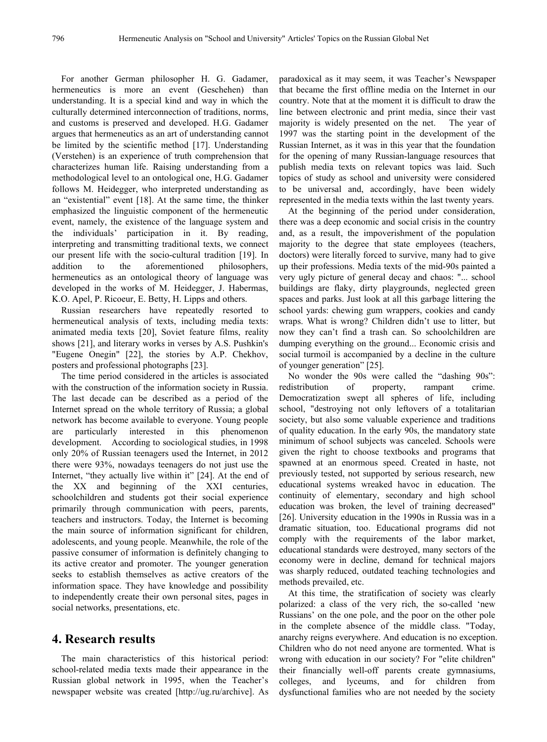For another German philosopher H. G. Gadamer, hermeneutics is more an event (Geschehen) than understanding. It is a special kind and way in which the culturally determined interconnection of traditions, norms, and customs is preserved and developed.H.G. Gadamer argues that hermeneutics as an art of understanding cannot be limited by the scientific method [17]. Understanding (Verstehen) is an experience of truth comprehension that characterizes human life. Raising understanding from a methodological level to an ontological one, H.G. Gadamer follows M. Heidegger, who interpreted understanding as an "existential" event [18]. At the same time, the thinker emphasized the linguistic component of the hermeneutic event, namely, the existence of the language system and the individuals' participation in it. By reading, interpreting and transmitting traditional texts, we connect our present life with the socio-cultural tradition [19]. In addition to the aforementioned philosophers, hermeneutics as an ontological theory of language was developed in the works of M. Heidegger, J. Habermas, K.O. Apel, P. Ricoeur, E. Betty, H. Lipps and others.

Russian researchers have repeatedly resorted to hermeneutical analysis of texts, including media texts: animated media texts [20], Soviet feature films, reality shows [21], and literary works in verses by A.S. Pushkin's "Eugene Onegin" [22], the stories by A.P. Chekhov, posters and professional photographs [23].

The time period considered in the articles is associated with the construction of the information society in Russia. The last decade can be described as a period of the Internet spread on the whole territory of Russia; a global network has become available to everyone. Young people are particularly interested in this phenomenon development. According to sociological studies, in 1998 only 20% of Russian teenagers used the Internet, in 2012 there were 93%, nowadays teenagers do not just use the Internet, "they actually live within it" [24]. At the end of the XX and beginning of the XXI centuries, schoolchildren and students got their social experience primarily through communication with peers, parents, teachers and instructors. Today, the Internet is becoming the main source of information significant for children, adolescents, and young people. Meanwhile, the role of the passive consumer of information is definitely changing to its active creator and promoter. The younger generation seeks to establish themselves as active creators of the information space. They have knowledge and possibility to independently create their own personal sites, pages in social networks, presentations, etc.

#### **4. Research results**

The main characteristics of this historical period: school-related media texts made their appearance in the Russian global network in 1995, when the Teacher's newspaper website was created [http://ug.ru/archive]. As paradoxical as it may seem, it was Teacher's Newspaper that became the first offline media on the Internet in our country. Note that at the moment it is difficult to draw the line between electronic and print media, since their vast majority is widely presented on the net. The year of 1997 was the starting point in the development of the Russian Internet, as it was in this year that the foundation for the opening of many Russian-language resources that publish media texts on relevant topics was laid. Such topics of study as school and university were considered to be universal and, accordingly, have been widely represented in the media texts within the last twenty years.

At the beginning of the period under consideration, there was a deep economic and social crisis in the country and, as a result, the impoverishment of the population majority to the degree that state employees (teachers, doctors) were literally forced to survive, many had to give up their professions. Media texts of the mid-90s painted a very ugly picture of general decay and chaos: "... school buildings are flaky, dirty playgrounds, neglected green spaces and parks. Just look at all this garbage littering the school yards: chewing gum wrappers, cookies and candy wraps. What is wrong? Children didn't use to litter, but now they can't find a trash can. So schoolchildren are dumping everything on the ground... Economic crisis and social turmoil is accompanied by a decline in the culture of younger generation" [25].

No wonder the 90s were called the "dashing 90s": redistribution of property, rampant crime. Democratization swept all spheres of life, including school, "destroying not only leftovers of a totalitarian society, but also some valuable experience and traditions of quality education. In the early 90s, the mandatory state minimum of school subjects was canceled. Schools were given the right to choose textbooks and programs that spawned at an enormous speed. Created in haste, not previously tested, not supported by serious research, new educational systems wreaked havoc in education. The continuity of elementary, secondary and high school education was broken, the level of training decreased" [26]. University education in the 1990s in Russia was in a dramatic situation, too. Educational programs did not comply with the requirements of the labor market, educational standards were destroyed, many sectors of the economy were in decline, demand for technical majors was sharply reduced, outdated teaching technologies and methods prevailed, etc.

At this time, the stratification of society was clearly polarized: a class of the very rich, the so-called 'new Russians' on the one pole, and the poor on the other pole in the complete absence of the middle class. "Today, anarchy reigns everywhere. And education is no exception. Children who do not need anyone are tormented. What is wrong with education in our society? For "elite children" their financially well-off parents create gymnasiums, colleges, and lyceums, and for children from dysfunctional families who are not needed by the society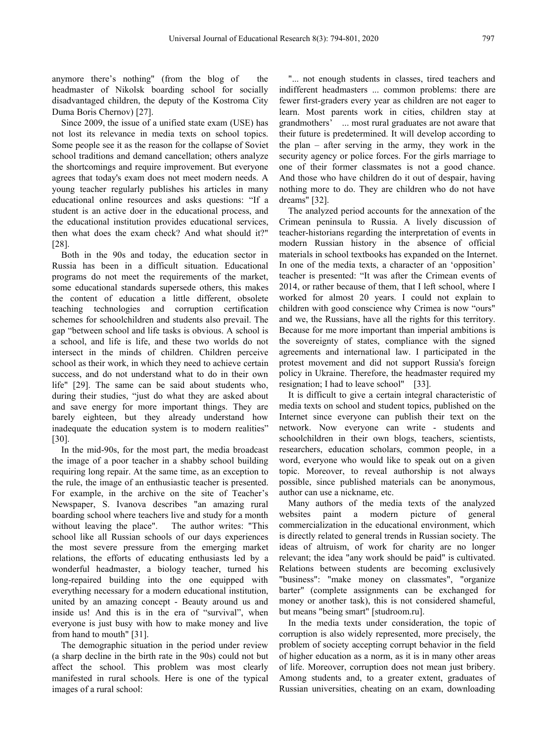anymore there's nothing" (from the blog of the headmaster of Nikolsk boarding school for socially disadvantaged children, the deputy of the Kostroma City Duma Boris Chernov) [27].

Since 2009, the issue of a unified state exam (USE) has not lost its relevance in media texts on school topics. Some people see it as the reason for the collapse of Soviet school traditions and demand cancellation; others analyze the shortcomings and require improvement. But everyone agrees that today's exam does not meet modern needs. A young teacher regularly publishes his articles in many educational online resources and asks questions: "If a student is an active doer in the educational process, and the educational institution provides educational services, then what does the exam check? And what should it?" [28].

Both in the 90s and today, the education sector in Russia has been in a difficult situation. Educational programs do not meet the requirements of the market, some educational standards supersede others, this makes the content of education a little different, obsolete teaching technologies and corruption certification schemes for schoolchildren and students also prevail. The gap "between school and life tasks is obvious. A school is a school, and life is life, and these two worlds do not intersect in the minds of children. Children perceive school as their work, in which they need to achieve certain success, and do not understand what to do in their own life" [29]. The same can be said about students who, during their studies, "just do what they are asked about and save energy for more important things. They are barely eighteen, but they already understand how inadequate the education system is to modern realities" [30].

In the mid-90s, for the most part, the media broadcast the image of a poor teacher in a shabby school building requiring long repair. Atthe same time, as an exception to the rule, the image of an enthusiastic teacher is presented. For example, in the archive on the site of Teacher's Newspaper, S. Ivanova describes "an amazing rural boarding school where teachers live and study for a month without leaving the place". The author writes: "This school like all Russian schools of our days experiences the most severe pressure from the emerging market relations, the efforts of educating enthusiasts led by a wonderful headmaster, a biology teacher, turned his long-repaired building into the one equipped with everything necessary for a modern educational institution, united by an amazing concept - Beauty around us and inside us! And this is in the era of "survival", when everyone is just busy with how to make money and live from hand to mouth" [31].

The demographic situation in the period under review (a sharp decline in the birth rate in the 90s) could not but affect the school.This problem was most clearly manifested in rural schools. Here is one of the typical images of a rural school:

"... not enough students in classes, tired teachers and indifferent headmasters ... common problems: there are fewer first-graders every year as children are not eager to learn. Most parents work in cities, children stay at grandmothers' ... most rural graduates are not aware that their future is predetermined. It will develop according to the plan – after serving in the army, they work in the security agency or police forces. For the girls marriage to one of their former classmates is not a good chance. And those who have children do it out of despair, having nothing more to do. They are children who do not have dreams" [32].

The analyzed period accounts for the annexation of the Crimean peninsula to Russia. A lively discussion of teacher-historians regarding the interpretation of events in modern Russian history in the absence of official materials in school textbooks has expanded on the Internet. In one of the media texts, a character of an 'opposition' teacher is presented: "It was after the Crimean events of 2014, or rather because of them, that I left school, where I worked for almost 20 years. I could not explain to children with good conscience why Crimea is now "ours" and we, the Russians, have all the rights for this territory. Because for me more important than imperial ambitions is the sovereignty of states, compliance with the signed agreements and international law. I participated in the protest movement and did not support Russia's foreign policy in Ukraine. Therefore, the headmaster required my resignation; I had to leave school" [33].

It is difficult to give a certain integral characteristic of media texts on school and student topics, published on the Internet since everyone can publish their text on the network. Now everyone can write - students and schoolchildren in their own blogs, teachers, scientists, researchers, education scholars, common people, in a word, everyone who would like to speak out on a given topic. Moreover, to reveal authorship is not always possible, since published materials can be anonymous, author can use a nickname, etc.

Many authors of the media texts of the analyzed paint a modern picture of general commercialization in the educational environment, which is directly related to general trends in Russian society. The ideas of altruism, of work for charity are no longer relevant; the idea "any work should be paid" is cultivated. Relations between students are becoming exclusively "business": "make money on classmates", "organize barter" (complete assignments can be exchanged for money or another task), this is not considered shameful, but means "being smart" [studroom.ru].

In the media texts under consideration, the topic of corruption is also widely represented, more precisely, the problem of society accepting corrupt behavior in the field of higher education as a norm, as it is in many other areas of life. Moreover, corruption does not mean just bribery. Among students and, to a greater extent, graduates of Russian universities, cheating on an exam, downloading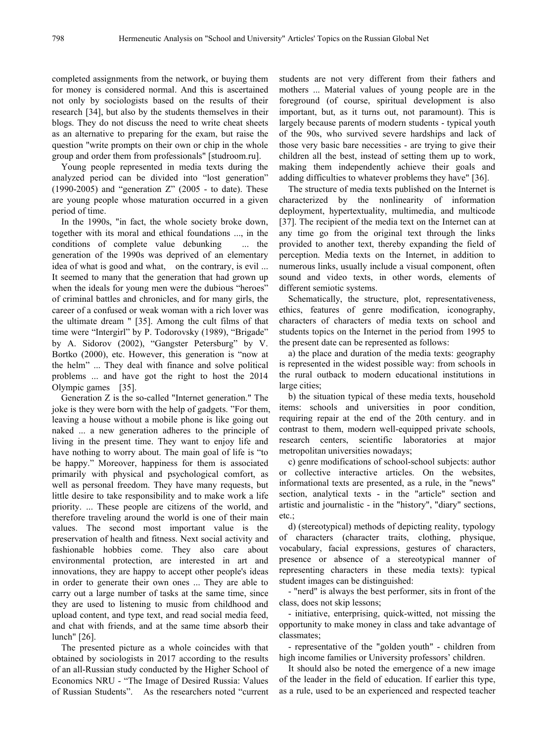completed assignments from the network, or buying them for money is considered normal. And this is ascertained not only by sociologists based on the results of their research [34], but also by the students themselves in their blogs. They do not discuss the need to write cheat sheets as an alternative to preparing for the exam, but raise the question "write prompts on their own or chip in the whole group and order them from professionals" [studroom.ru].

Young people represented in media texts during the analyzed period can be divided into "lost generation" adding difficulties to whatever problems they have" [36]. (1990-2005) and "generation Z" (2005 - to date). These are young people whose maturation occurred in a given period of time.

In the 1990s, "in fact, the whole society broke down, together with its moral and ethical foundations ..., in the conditions of complete value debunking ... the generation of the 1990s was deprived of an elementary idea of what is good and what, on the contrary, is evil ... It seemed to many that the generation that had grown up when the ideals for young men were the dubious "heroes" of criminal battles and chronicles, and for many girls, the career of a confused or weak woman with a rich lover was the ultimate dream " [35]. Among the cult films of that time were "Intergirl" by P. Todorovsky (1989), "Brigade" by A. Sidorov (2002), "Gangster Petersburg" by V. Bortko (2000), etc. However, this generation is "now at the helm" ... They deal with finance and solve political problems ... and have got the right to host the 2014 Olympic games [35].

Generation Z is the so-called "Internet generation." The joke is they were born with the help of gadgets."For them, leaving a house without a mobile phone is like going out naked ... a new generation adheres to the principle of living in the present time. They want to enjoy life and have nothing to worry about. The main goal of life is "to be happy." Moreover, happiness for them is associated primarily with physical and psychological comfort, as well as personal freedom. They have many requests, but little desire to take responsibility and to make work a life priority. ... These people are citizens of the world, and therefore traveling around the world is one of their main values. The second most important value is the preservation of health and fitness. Next social activity and fashionable hobbies come. They also care about environmental protection, are interested in art and innovations, they are happy to accept other people's ideas in order to generate their own ones ... They are able to carry out a large number of tasks at the same time, since they are used to listening to music from childhood and upload content, and type text, and read social media feed, and chat with friends, and at the same time absorb their lunch" [26].

The presented picture as a whole coincides with that obtained by sociologists in 2017 according to the results of an all-Russian study conducted by the Higher School of Economics NRU - "The Image of Desired Russia: Values of Russian Students". As the researchers noted "current students are not very different from their fathers and mothers ... Material values of young people are in the foreground (of course, spiritual development is also important, but, as it turns out, not paramount). This is largely because parents of modern students - typical youth of the 90s, who survived severe hardships and lack of those very basic bare necessities - are trying to give their children all the best, instead of setting them up to work, making them independently achieve their goals and

The structure of media texts published on the Internet is characterized by the nonlinearity of information deployment, hypertextuality, multimedia, and multicode [37]. The recipient of the media text on the Internet can at any time go from the original text through the links provided to another text, thereby expanding the field of perception. Media texts on the Internet, in addition to numerous links, usually include a visual component, often sound and video texts, in other words, elements of different semiotic systems.

Schematically, the structure, plot, representativeness, ethics, features of genre modification, iconography, characters of characters of media texts on school and students topics on the Internet in the period from 1995 to the present date can be represented as follows:

a) the place and duration of the media texts: geography is represented in the widest possible way: from schools in the rural outback to modern educational institutions in large cities;

b) the situation typical of these media texts, household items: schools and universities in poor condition, requiring repair at the end of the 20th century. and in contrast to them, modern well-equipped private schools, research centers, scientific laboratories at major metropolitan universities nowadays;

c) genre modifications of school-school subjects: author or collective interactive articles. On the websites, informational texts are presented, as a rule, in the "news" section, analytical texts - in the "article" section and artistic and journalistic - in the "history", "diary" sections, etc.;

d) (stereotypical) methods of depicting reality, typology of characters (character traits, clothing, physique, vocabulary, facial expressions, gestures of characters, presence or absence of a stereotypical manner of representing characters in these media texts): typical student images can be distinguished:

- "nerd" is always the best performer, sits in front of the class, does not skip lessons;

- initiative, enterprising, quick-witted, not missing the opportunity to make money in class and take advantage of classmates;

- representative of the "golden youth" - children from high income families or University professors' children.

It should also be noted the emergence of a new image of the leader in the field of education. If earlier this type, as a rule, used to be an experienced and respected teacher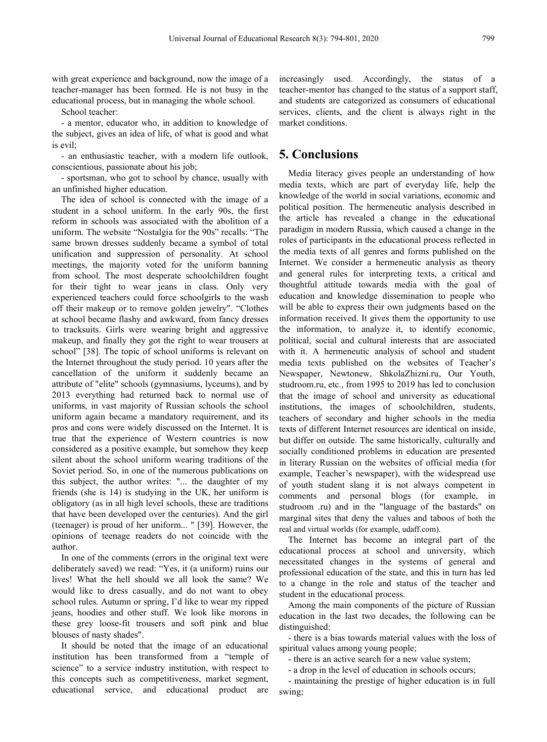with great experience and background, now the image of a teacher-manager has been formed. He is not busy in the educational process, but in managing the whole school.

School teacher:

- a mentor, educator who, in addition to knowledge of the subject, gives an idea of life, of what is good and what is evil;

- an enthusiastic teacher, with a modern life outlook, conscientious, passionate about his job;

- sportsman, who got to school by chance, usually with an unfinished higher education.

The idea of school is connected with the image of a student in a school uniform. In the early 90s, the first reform in schools was associated with the abolition of a uniform. The website "Nostalgia for the 90s" recalls:"The same brown dresses suddenly became a symbol of total unification and suppression of personality. At school meetings, the majority voted for the uniform banning from school. The most desperate schoolchildren fought for their tight to wear jeans in class. Оnly very experienced teachers could force schoolgirls to the wash off their makeup or to remove golden jewelry". "Clothes at school became flashy and awkward, from fancy dresses to tracksuits. Girls were wearing bright and aggressive makeup, and finally they got the right to wear trousers at school" [38]. The topic of school uniforms is relevant on the Internet throughout the study period. 10 years after the cancellation of the uniform it suddenly became an attribute of "elite" schools (gymnasiums, lyceums), and by 2013 everything had returned back to normal use of uniforms, in vast majority of Russian schools the school uniform again became a mandatory requirement, and its pros and cons were widely discussed on the Internet.It is true that the experience of Western countries is now considered as a positive example, but somehow they keep silent about the school uniform wearing traditions of the Soviet period. So, in one of the numerous publications on this subject, the author writes: "... the daughter of my friends (she is 14) is studying in the UK, her uniform is obligatory (as in all high level schools, these are traditions that have been developed over the centuries). And the girl (teenager) is proud of her uniform... " [39]. However, the opinions of teenage readers do not coincide with the author.

In one of the comments (errors in the original text were deliberately saved) we read: "Yes, it (a uniform) ruins our lives! What the hell should we all look the same? We would like to dress casually, and do not want to obey school rules. Autumn or spring, I'd like to wear my ripped jeans, hoodies and other stuff. We look like morons in these grey loose-fit trousers and soft pink and blue blouses of nasty shades".

It should be noted that the image of an educational institution has been transformed from a "temple of science" to a service industry institution, with respect to this concepts such as competitiveness, market segment, educational service, and educational product are

increasingly used. Accordingly, the status of a teacher-mentor has changed to the status of a support staff, and students are categorized as consumers of educational services, clients, and the client is always right in the market conditions.

## **5. Conclusions**

Media literacy gives people an understanding of how media texts, which are part of everyday life, help the knowledge of the world in social variations, economic and political position. The hermeneutic analysis described in the article has revealed a change in the educational paradigm in modern Russia, which caused a change in the roles of participants in the educational process reflected in the media texts of all genres and forms published on the Internet. We consider a hermeneutic analysis as theory and general rules for interpreting texts, a critical and thoughtful attitude towards media with the goal of education and knowledge dissemination to people who will be able to express their own judgments based on the information received. It gives them the opportunity to use the information, to analyze it, to identify economic, political, social and cultural interests that are associated with it. A hermeneutic analysis of school and student media texts published on the websites of Teacher's Newspaper, Newtonew, ShkolaZhizni.ru, Our Youth, studroom.ru, etc., from 1995 to 2019 has led to conclusion that the image of school and university as educational institutions, the images of schoolchildren, students, teachers of secondary and higher schools in the media texts of different Internet resources are identical on inside, but differ on outside. The same historically, culturally and socially conditioned problems in education are presented in literary Russian on the websites of official media (for example, Teacher's newspaper), with the widespread use of youth student slang it is not always competent in comments and personal blogs (for example, in studroom .ru) and in the "language of the bastards" on marginal sites that deny the values and taboos of both the real and virtual worlds (for example, udaff.com).

The Internet has become an integral part of the educational process at school and university, which necessitated changes in the systems of general and professional education of the state, and this in turn has led to a change in the role and status of the teacher and student in the educational process.

Among the main components of the picture of Russian education in the last two decades, the following can be distinguished:

- there is a bias towards material values with the loss of spiritual values among young people;

- there is an active search for a new value system;

- a drop in the level of education in schools occurs;

- maintaining the prestige of higher education is in full swing;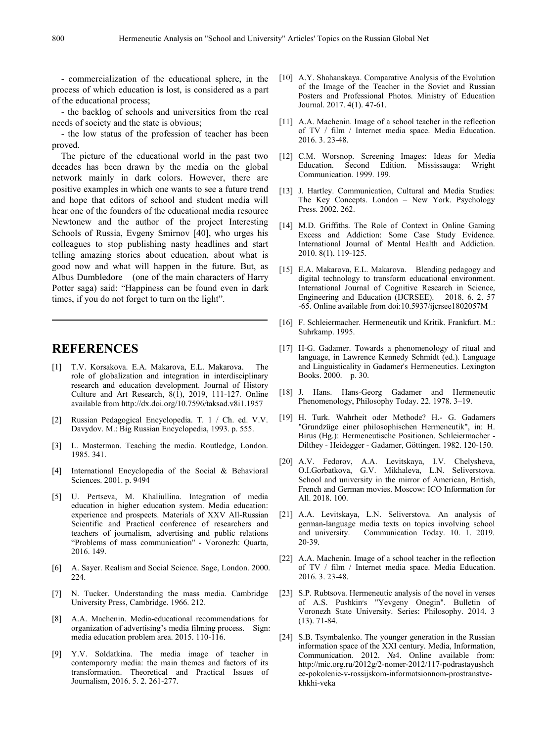- commercialization of the educational sphere, in the process of which education is lost, is considered as a part of the educational process;

- the backlog of schools and universities from the real needs of society and the state is obvious;

- the low status of the profession of teacher has been proved.

The picture of the educational world in the past two decades has been drawn by the media on the global network mainly in dark colors. However, there are positive examples in which one wants to see a future trend and hope that editors of school and student media will hear one of the founders of the educational media resource Newtonew and the author of the project Interesting Schools of Russia, Evgeny Smirnov [40], who urges his Excess and Addiction: Some Case Study Evidence. colleagues to stop publishing nasty headlines and start telling amazing stories about education, about what is good now and what will happen in the future. But, as Albus Dumbledore (one of the main characters of Harry Potter saga) said: "Happiness can be found even in dark times, if you do not forget to turn on the light".

### **REFERENCES**

- [1] T.V. Korsakova. E.A. Makarova, E.L. Makarova. The role of globalization and integration in interdisciplinary research and education development. Journal of History Culture and Art Research,  $8(1)$ , 2019, 111-127. Online available from http://dx.doi.org/10.7596/taksad.v8i1.1957
- [2] Russian Pedagogical Encyclopedia. T. 1 / Ch. ed. V.V. Davydov. M.: Big Russian Encyclopedia, 1993. p. 555.
- [3] L. Masterman. Teaching the media. Routledge, London. 1985. 341.
- [4] International Encyclopedia of the Social & Behavioral Sciences. 2001. p. 9494
- [5] U. Pertseva, M. Khaliullina. Integration of media education in higher education system. Media education: experience and prospects. Materials of XXV All-Russian Scientific and Practical conference of researchers and german-language teachers of iournalism, advertising and public relations and university. teachers of journalism, advertising and public relations "Problems of mass communication" - Voronezh: Quarta, 2016. 149.
- [6] A. Sayer. Realism and Social Science. Sage, London. 2000. 224.
- [7] N. Tucker. Understanding the mass media. Cambridge University Press, Cambridge. 1966. 212.
- [8] A.A. Machenin. Media-educational recommendations for organization of advertising's media filming process. Sign: media education problem area. 2015. 110-116.
- [9] Y.V. Soldatkina. The media image of teacher in contemporary media: the main themes and factors of its transformation. Theoretical and Practical Issues of Journalism, 2016. 5. 2. 261-277.
- [10] A.Y. Shahanskaya. Comparative Analysis of the Evolution of the Image of the Teacher in the Soviet and Russian Posters and Professional Photos. Ministry of Education Journal. 2017. 4(1). 47-61.
- [11] A.A. Machenin. Image of a school teacher in the reflection of TV / film / Internet media space. Media Education. 2016. 3. 23-48.
- [12] C.M. Worsnop. Screening Images: Ideas for Media Education. Second Edition. Mississauga: Wright Communication. 1999. 199.
- [13] J. Hartley. Communication, Cultural and Media Studies: The Key Concepts. London – New York. Psychology Press. 2002. 262.
- [14] M.D. Griffiths. The Role of Context in Online Gaming International Journal of Mental Health and Addiction. 2010. 8(1). 119-125.
- [15] E.A. Makarova, E.L. Makarova. Blending pedagogy and digital technology to transform educational environment. International Journal of Cognitive Research in Science, Engineering and Education (IJCRSEE). 2018. 6. 2. 57 -65. Online available from doi:10.5937/ijcrsee1802057M
- [16] F. Schleiermacher. Hermeneutik und Kritik. Frankfurt. M.: Suhrkamp. 1995.
- [17] H-G. Gadamer. Towards a phenomenology of ritual and language, in Lawrence Kennedy Schmidt (ed.). Language and Linguisticality in Gadamer's Hermeneutics. Lexington Books. 2000. p. 30.
- [18] J. Hans. Hans-Georg Gadamer and Hermeneutic Phenomenology, Philosophy Today. 22. 1978. 3–19.
- [19] H. Turk. Wahrheit oder Methode? H.- G. Gadamers "Grundzüge einer philosophischen Hermeneutik", in: H. Birus (Hg.): Hermeneutische Positionen. Schleiermacher - Dilthey - Heidegger - Gadamer, Göttingen. 1982. 120-150.
- [20] A.V. Fedorov, A.A. Levitskaya, I.V. Chelysheva, O.I.Gorbatkova, G.V. Mikhaleva, L.N. Seliverstova. School and university in the mirror of American, British, French and German movies. Moscow: ICO Information for All. 2018. 100.
- [21] A.A. Levitskaya, L.N. Seliverstova. An analysis of german-language media texts on topics involving school Communication Today. 10. 1. 2019. 20-39.
- [22] A.A. Machenin. Image of a school teacher in the reflection of TV / film / Internet media space. Media Education. 2016. 3. 23-48.
- [23] S.P. Rubtsova. Hermeneutic analysis of the novel in verses of A.S. Pushkin's "Yevgeny Onegin". Bulletin of Voronezh State University. Series: Philosophy. 2014. 3 (13). 71-84.
- [24] S.B. Tsymbalenko. The younger generation in the Russian information space of the XXI century. Media, Information, Communication. 2012. №4. Online available from: http://mic.org.ru/2012g/2-nomer-2012/117-podrastayushch ee-pokolenie-v-rossijskom-informatsionnom-prostranstve khkhi-veka